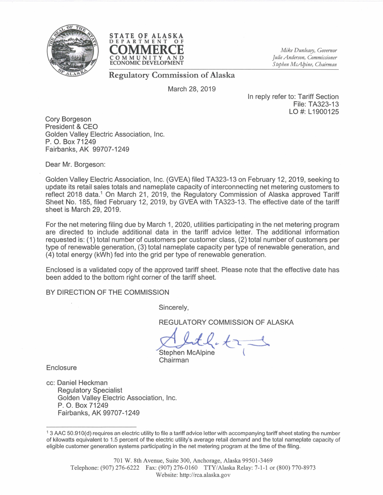



*Mike Dunleary, Governor Julie Anderson, Commissioner Stephen McAlpine, Chairman* 

Regulatory Commission of Alaska

March 28,2019

In reply refer to: Tariff Section File: T A323-13 LO #: L1900125

Cory Borgeson President & CEO Golden Valley Electric Association, Inc. P. O. Box 71249 Fairbanks, AK 99707-1249

Dear Mr. Borgeson:

Golden Valley Electric Association, Inc. (GVEA) filed TA323-13 on February 12, 2019, seeking to update its retail sales totals and nameplate capacity of interconnecting net metering customers to reflect 2018 data.<sup>1</sup> On March 21, 2019, the Regulatory Commission of Alaska approved Tariff Sheet No. 185, filed February 12,2019, by GVEA with TA323-13. The effective date of the tariff sheet is March 29, 2019.

For the net metering filing due by March 1, 2020, utilities participating in the net metering program are directed to include additional data in the tariff advice letter. The additional information requested is: (1) total number of customers per customer class, (2) total number of customers per type of renewable generation, (3) total nameplate capacity per type of renewable generation, and (4) total energy (kWh) fed into the grid per type of renewable generation.

Enclosed is a validated copy of the approved tariff sheet. Please note that the effective date has been added to the bottom right corner of the tariff sheet.

BY DIRECTION OF THE COMMISSION

Sincerely,

REGULATORY COMMISSION OF ALASKA

 $\mathcal{L}_t$ ,  $\mathcal{L}_t$ ,  $\mathcal{L}_t$ 

Chairman

**Enclosure** 

cc: Daniel Heckman Regulatory Specialist Golden Valley Electric Association, Inc. P. O. Box 71249 Fairbanks, AK 99707-1249

<sup>13</sup> AAC 50.910(d) requires an electric utility to file a tariff advice letter with accompanying tariff sheet stating the number of kilowatts equivalent to 1.5 percent of the electric utility's average retail demand and the total nameplate capacity of eligible customer generation systems participating in the net metering program at the time of the filing.